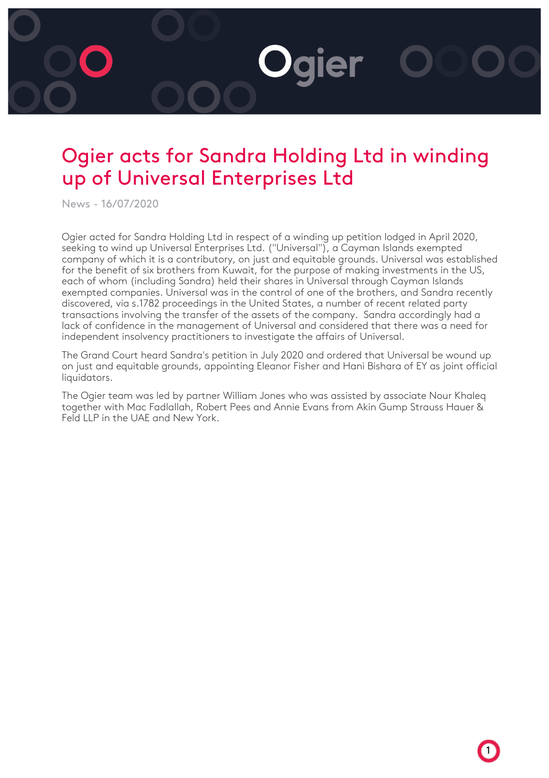## Ogier acts for Sandra Holding Ltd in winding up of Universal Enterprises Ltd

**Ogier** 

News - 16/07/2020

Ogier acted for Sandra Holding Ltd in respect of a winding up petition lodged in April 2020, seeking to wind up Universal Enterprises Ltd. ("Universal"), a Cayman Islands exempted company of which it is a contributory, on just and equitable grounds. Universal was established for the benefit of six brothers from Kuwait, for the purpose of making investments in the US, each of whom (including Sandra) held their shares in Universal through Cayman Islands exempted companies. Universal was in the control of one of the brothers, and Sandra recently discovered, via s.1782 proceedings in the United States, a number of recent related party transactions involving the transfer of the assets of the company. Sandra accordingly had a lack of confidence in the management of Universal and considered that there was a need for independent insolvency practitioners to investigate the affairs of Universal.

The Grand Court heard Sandra's petition in July 2020 and ordered that Universal be wound up on just and equitable grounds, appointing Eleanor Fisher and Hani Bishara of EY as joint official liquidators.

The Ogier team was led by partner William Jones who was assisted by associate Nour Khaleq together with Mac Fadlallah, Robert Pees and Annie Evans from Akin Gump Strauss Hauer & Feld LLP in the UAE and New York.

1